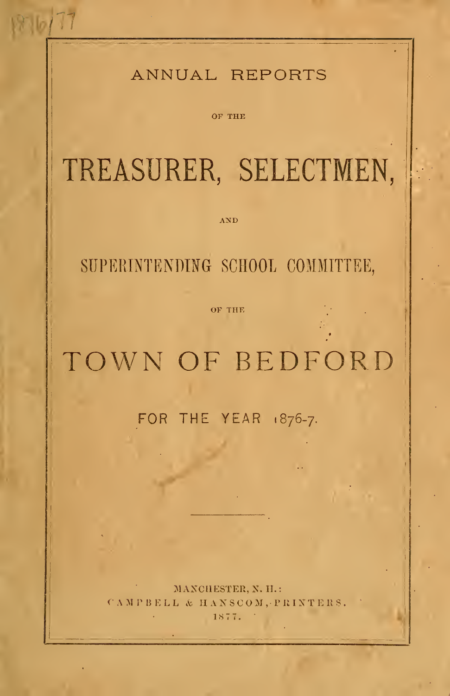## ANNUAL REPORTS

 $\frac{1}{2}$ 

OF THE

# TREASURER, SELECTMEN,

**AND** 

# SUPERINTENDING SCHOOL COMMITTEE,

OF THE

# TOWN OF BEDFORD

FOR THE YEAR 1876-7.

MANCHESTER, N. H.: CAMPBELL & HANSCOM, PRINTERS. 1877.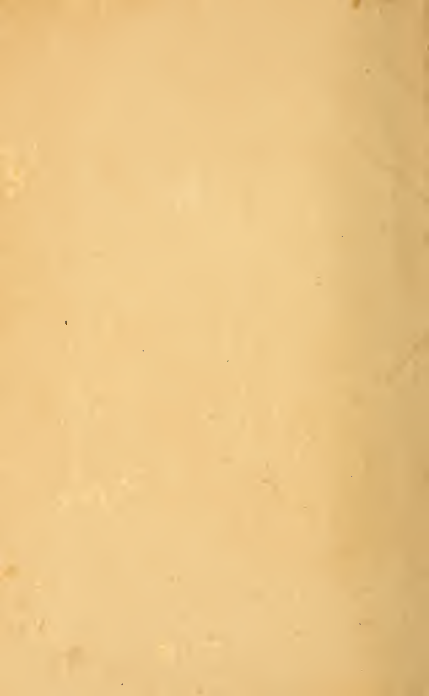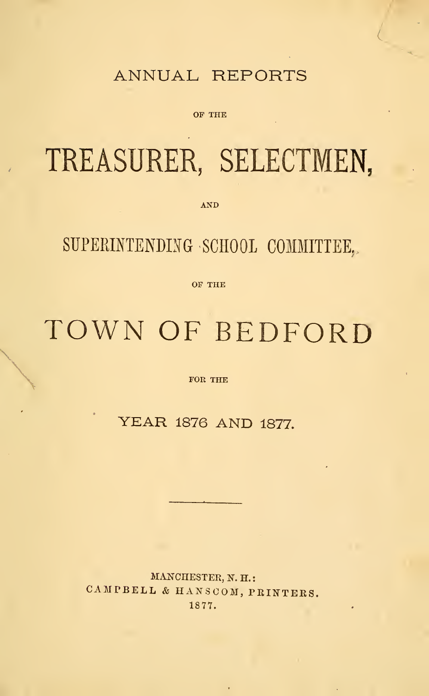## ANNUAL REPORTS

OF THE

# TREASURER, SELECTMEN,

AND

# SUPERINTENDING SCHOOL COMMITTEE,

OF THE

# TOWN OF BEDFORD

FOR THE

YEAR <sup>1876</sup> AND 1877.

MANCHESTER, N. H. CAMTBELL & HANSCOM, PRINTERS. 1877.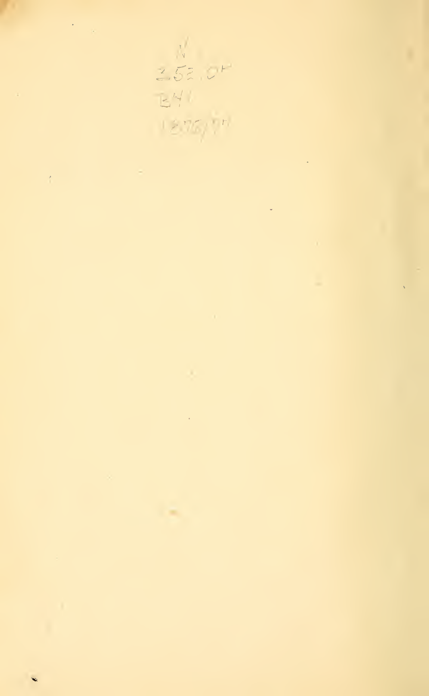$\frac{1}{252}$ <br> $\frac{1}{25}$ <br> $\frac{1}{25}$ <br> $\frac{1}{25}$ <br> $\frac{1}{25}$ <br> $\frac{1}{25}$ <br> $\frac{1}{25}$ 

 $\sim$ 

 $\frac{1}{2}$ 

 $\ddot{\phantom{1}}$ 

 $\label{eq:2} \mathcal{L} = \mathcal{L} \left( \mathcal{L} \right) \mathcal{L} \left( \mathcal{L} \right)$ 

 $\mathcal{F}_{\text{c},k}$ 

 $\chi$  -  $\chi$  -  $\chi$  -  $\chi$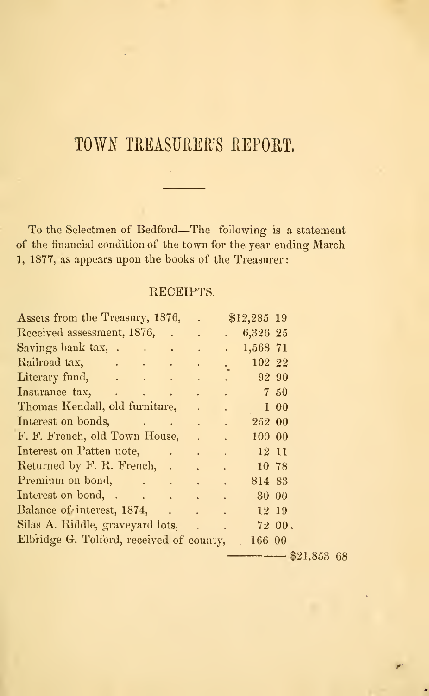# TOWN TREASURER'S REPORT.

To the Selectmen of Bedford—The following is <sup>a</sup> statement of the financial condition of the town for the year ending March 1, 1877, as appears upon the books of the Treasurer:

### RECEIPTS.

| Assets from the Treasury, 1876, .                                                                                                                                                                                              |  |            |                      | $$12,285$ 19   |               |
|--------------------------------------------------------------------------------------------------------------------------------------------------------------------------------------------------------------------------------|--|------------|----------------------|----------------|---------------|
| Received assessment, 1876,                                                                                                                                                                                                     |  |            | in 1                 | 6,326 25       |               |
| Savings bank tax,                                                                                                                                                                                                              |  |            | a in                 | 1,568 71       |               |
| Railroad tax, and the contract of the contract of the contract of the contract of the contract of the contract of the contract of the contract of the contract of the contract of the contract of the contract of the contract |  | $\sim 100$ | $\ddot{\phantom{0}}$ | 102 22         |               |
| Literary fund,                                                                                                                                                                                                                 |  | $\sim$ $-$ |                      |                | 92 90         |
| Insurance tax, 7 50                                                                                                                                                                                                            |  |            |                      |                |               |
| Thomas Kendall, old furniture, and                                                                                                                                                                                             |  |            |                      | $\cdot$ 1 00   |               |
| Interest on bonds, The Contract on the Contract of the Contract of the Contract of the Contract of the Contract of the Contract of the Contract of the Contract of the Contract of the Contract of the Contract of the Contrac |  |            |                      |                |               |
| F. F. French, old Town House,                                                                                                                                                                                                  |  |            |                      | 100 00         |               |
| Interest on Patten note, and a set of the set of the set of the set of the set of the set of the set of the set of the set of the set of the set of the set of the set of the set of the set of the set of the set of the set  |  |            |                      | 12 11          |               |
| Returned by F. R. French,                                                                                                                                                                                                      |  |            |                      | 10 78          |               |
| Premium on bond, Fig. 1. Communications of the contract of the contract of the contract of the contract of the contract of the contract of the contract of the contract of the contract of the contract of the contract of the |  |            |                      | 814 83         |               |
| Interest on bond,                                                                                                                                                                                                              |  |            |                      | $30\text{ }00$ |               |
| Balance of interest, 1874, 12 19                                                                                                                                                                                               |  |            |                      |                |               |
| Silas A. Riddle, graveyard lots, 72 00.                                                                                                                                                                                        |  |            |                      |                |               |
| Elbridge G. Tolford, received of county,                                                                                                                                                                                       |  |            |                      | 166 00         |               |
|                                                                                                                                                                                                                                |  |            |                      |                | $--$ \$21,853 |

68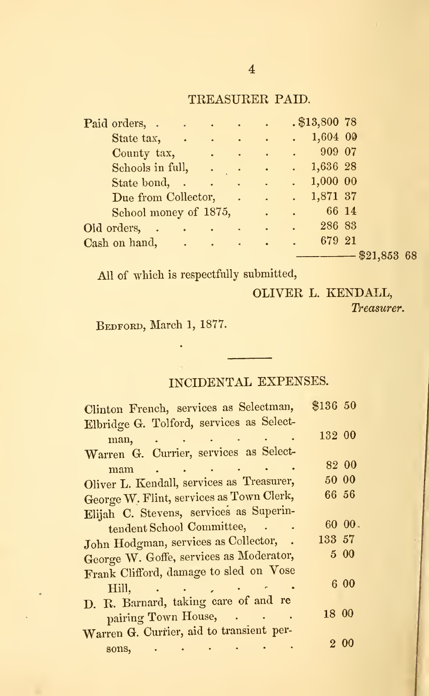## TREASURER PAID.

| Paid orders,                            |  | the contract of the contract of |                    |                       | .\$13,800 78                                                                                                                                                                                                                                                                                                                                 |             |  |
|-----------------------------------------|--|---------------------------------|--------------------|-----------------------|----------------------------------------------------------------------------------------------------------------------------------------------------------------------------------------------------------------------------------------------------------------------------------------------------------------------------------------------|-------------|--|
| State tax, 1,604 00                     |  |                                 |                    |                       |                                                                                                                                                                                                                                                                                                                                              |             |  |
| County tax,                             |  |                                 |                    |                       | 909 07<br>$\mathbf{z} = \mathbf{z} \times \mathbf{z}$                                                                                                                                                                                                                                                                                        |             |  |
| Schools in full,                        |  |                                 |                    |                       | . 1,63628                                                                                                                                                                                                                                                                                                                                    |             |  |
| State bond, .                           |  |                                 |                    |                       | $\cdots$ $\cdots$ $\cdots$ $\cdots$ $\cdots$ $\cdots$ $\cdots$ $\cdots$ $\cdots$ $\cdots$ $\cdots$ $\cdots$ $\cdots$ $\cdots$ $\cdots$ $\cdots$ $\cdots$ $\cdots$ $\cdots$ $\cdots$ $\cdots$ $\cdots$ $\cdots$ $\cdots$ $\cdots$ $\cdots$ $\cdots$ $\cdots$ $\cdots$ $\cdots$ $\cdots$ $\cdots$ $\cdots$ $\cdots$ $\cdots$ $\cdots$ $\cdots$ |             |  |
| Due from Collector,                     |  |                                 |                    |                       | 1,871 37                                                                                                                                                                                                                                                                                                                                     |             |  |
| School money of 1875,                   |  |                                 |                    | $\ddot{\phantom{0}}$  |                                                                                                                                                                                                                                                                                                                                              | 66 14       |  |
| Old orders,                             |  |                                 |                    |                       | 286 83                                                                                                                                                                                                                                                                                                                                       |             |  |
| $\operatorname{Cash}$ on hand, $\cdots$ |  |                                 | $\Delta \sim 10^4$ | <b>Alberta Street</b> | 679 21                                                                                                                                                                                                                                                                                                                                       |             |  |
|                                         |  |                                 |                    |                       |                                                                                                                                                                                                                                                                                                                                              | \$21,853 68 |  |

All of which is respectfully submitted,

OLIVER L. KENDALL,

Treasurer.

BEDFORD, March 1, 1877.

## INCIDENTAL EXPENSES.

| Clinton French, services as Selectman,                                                                                                                                     | \$136 50 |           |
|----------------------------------------------------------------------------------------------------------------------------------------------------------------------------|----------|-----------|
| Elbridge G. Tolford, services as Select-                                                                                                                                   |          |           |
| man, $\cdots$ $\cdots$                                                                                                                                                     | 132 00   |           |
| Warren G. Currier, services as Select-                                                                                                                                     |          |           |
| $\mathcal{A}^{\mathcal{A}}$ , and $\mathcal{A}^{\mathcal{A}}$ , and $\mathcal{A}^{\mathcal{A}}$ , and $\mathcal{A}^{\mathcal{A}}$ , and $\mathcal{A}^{\mathcal{A}}$<br>mam |          | 82 00     |
| Oliver L. Kendall, services as Treasurer,                                                                                                                                  | 50 00    |           |
| George W. Flint, services as Town Clerk,                                                                                                                                   | 66 56    |           |
| Elijah C. Stevens, services as Superin-                                                                                                                                    |          |           |
| tendent School Committee,                                                                                                                                                  |          | 60 00.    |
| John Hodgman, services as Collector, .                                                                                                                                     | 133 57   |           |
| George W. Goffe, services as Moderator,                                                                                                                                    |          | 500       |
| Frank Clifford, damage to sled on Vose                                                                                                                                     |          |           |
| Hill,<br>the contract of the contract of the                                                                                                                               |          | 6 00      |
| D. R. Barnard, taking care of and re                                                                                                                                       |          |           |
| pairing Town House,                                                                                                                                                        | 18 00    |           |
| Warren G. Currier, aid to transient per-                                                                                                                                   |          |           |
| sons, $\cdot$ $\cdot$ $\cdot$                                                                                                                                              |          | $2\ \ 00$ |
|                                                                                                                                                                            |          |           |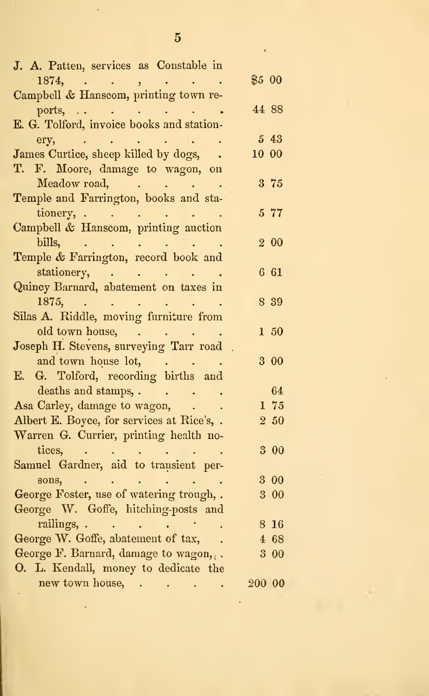$\overline{5}$ 

ä

.

ï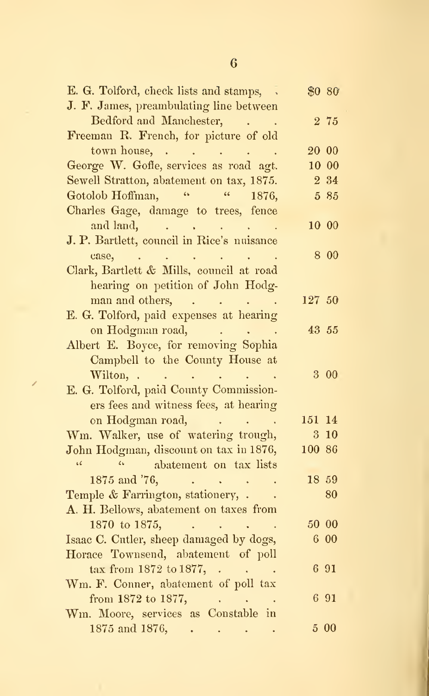| E. G. Tolford, check lists and stamps,                                                                                 |        | \$0 80 |
|------------------------------------------------------------------------------------------------------------------------|--------|--------|
| J. F. James, preambulating line between                                                                                |        |        |
| Bedford and Manchester,                                                                                                |        | 2 75   |
| Freeman R. French, for picture of old                                                                                  |        |        |
| town house, .<br>$\mathcal{L}^{\text{max}}_{\text{max}}$ and $\mathcal{L}^{\text{max}}_{\text{max}}$                   |        | 20 00  |
| George W. Goffe, services as road agt.                                                                                 |        | 10 00  |
| Sewell Stratton, abatement on tax, 1875.                                                                               |        | 2 34   |
| Gotolob Hoffman, "<br>1876,                                                                                            |        | 5 85   |
| Charles Gage, damage to trees, fence                                                                                   |        |        |
| and land,                                                                                                              |        | 10 00  |
| J. P. Bartlett, council in Rice's nuisance                                                                             |        |        |
| case,                                                                                                                  |        | 8 00   |
| Clark, Bartlett & Mills, council at road                                                                               |        |        |
| hearing on petition of John Hodg-                                                                                      |        |        |
| man and others,<br>$\mathcal{L}_{\mathbf{z}}$ and $\mathcal{L}_{\mathbf{z}}$ are the set of $\mathcal{L}_{\mathbf{z}}$ | 127 50 |        |
| E. G. Tolford, paid expenses at hearing                                                                                |        |        |
| on Hodgman road,<br><b>Contract Contract Contract Contract</b>                                                         |        | 43 55  |
| Albert E. Boyce, for removing Sophia                                                                                   |        |        |
| Campbell to the County House at                                                                                        |        |        |
| Wilton,                                                                                                                |        | 3 00   |
| E. G. Tolford, paid County Commission-                                                                                 |        |        |
| ers fees and witness fees, at hearing                                                                                  |        |        |
| on Hodgman road,<br><b>Contract Contract State</b>                                                                     | 151 14 |        |
| Wm. Walker, use of watering trough,                                                                                    | 310    |        |
| John Hodgman, discount on tax in 1876,                                                                                 | 100 86 |        |
| $\epsilon$ $\zeta$<br>abatement on tax lists<br>$\ddot{\phantom{a}}$                                                   |        |        |
| 1875 and '76,                                                                                                          |        | 18 59  |
| Temple & Farrington, stationery,.                                                                                      |        | 80     |
| A. H. Bellows, abatement on taxes from                                                                                 |        |        |
| 1870 to 1875,<br>$\mathcal{L}(\mathbf{x})$ and $\mathcal{L}(\mathbf{x})$                                               |        | 50 00  |
| Isaac C. Cutler, sheep damaged by dogs,                                                                                |        | 600    |
| Horace Townsend, abatement of poll                                                                                     |        |        |
| tax from 1872 to 1877,<br>÷.<br><b>Contractor</b>                                                                      |        | 6 91   |
| Wm. F. Conner, abatement of poll tax                                                                                   |        |        |
| from 1872 to 1877,                                                                                                     |        | 6 91   |
| Wm. Moore, services as Constable in                                                                                    |        |        |
| 1875 and 1876,<br>the contract of the contract of the                                                                  |        | 5 00   |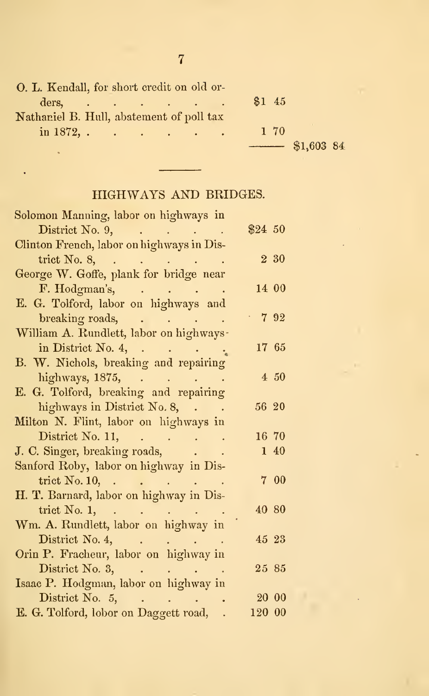| O. L. Kendall, for short credit on old or- |  |  |  |          |      |                 |  |
|--------------------------------------------|--|--|--|----------|------|-----------------|--|
| ders, $\cdots$                             |  |  |  | $$1\;45$ |      |                 |  |
| Nathaniel B. Hull, abatement of poll tax   |  |  |  |          |      |                 |  |
| $\ln 1872, \ldots$                         |  |  |  |          | 1 70 |                 |  |
|                                            |  |  |  |          |      | $- $ \$1,603 84 |  |

## HIGHWAYS AND BRIDGES.

| Solomon Manning, labor on highways in                                                                                                                                                                                          |         |                  |  |
|--------------------------------------------------------------------------------------------------------------------------------------------------------------------------------------------------------------------------------|---------|------------------|--|
| District No. 9, Alexander Alexander Alexander Alexander Alexander Alexander Alexander Alexander Alexander Alexander Alexander Alexander Alexander Alexander Alexander Alexander Alexander Alexander Alexander Alexander Alexan | \$24 50 |                  |  |
| Clinton French, labor on highways in Dis-                                                                                                                                                                                      |         |                  |  |
| trict No. 8, $\cdots$ $\cdots$ $\cdots$                                                                                                                                                                                        |         | 2 30             |  |
| George W. Goffe, plank for bridge near                                                                                                                                                                                         |         |                  |  |
| F. Hodgman's,                                                                                                                                                                                                                  | 14 00   |                  |  |
| E. G. Tolford, labor on highways and                                                                                                                                                                                           |         |                  |  |
| breaking roads,<br>the company of the company of                                                                                                                                                                               |         | 7 92             |  |
| William A. Rundlett, labor on highways-                                                                                                                                                                                        |         |                  |  |
| in District No. 4, $\cdots$                                                                                                                                                                                                    | 17 65   |                  |  |
| B. W. Nichols, breaking and repairing                                                                                                                                                                                          |         |                  |  |
| highways, $1875$ ,                                                                                                                                                                                                             |         | $4\overline{50}$ |  |
| E. G. Tolford, breaking and repairing                                                                                                                                                                                          |         |                  |  |
| highways in District No. 8,                                                                                                                                                                                                    | 56 20   |                  |  |
| Milton N. Flint, labor on highways in                                                                                                                                                                                          |         |                  |  |
| District No. 11,                                                                                                                                                                                                               | 16 70   |                  |  |
| J. C. Singer, breaking roads,                                                                                                                                                                                                  |         | 1 40             |  |
| Sanford Roby, labor on highway in Dis-                                                                                                                                                                                         |         |                  |  |
| $\text{trict No. 10, } \quad . \quad . \quad .$                                                                                                                                                                                |         | 700              |  |
| H. T. Barnard, labor on highway in Dis-                                                                                                                                                                                        |         |                  |  |
| trict No. 1, $\cdots$ $\cdots$                                                                                                                                                                                                 | 40 80   |                  |  |
| Wm. A. Rundlett, labor on highway in                                                                                                                                                                                           |         |                  |  |
| District No. 4,                                                                                                                                                                                                                | 45 23   |                  |  |
| Orin P. Fracheur, labor on highway in                                                                                                                                                                                          |         |                  |  |
| District No. 3,                                                                                                                                                                                                                | 25 85   |                  |  |
| Isaac P. Hodgman, labor on highway in                                                                                                                                                                                          |         |                  |  |
| District No. 5,                                                                                                                                                                                                                | 20 00   |                  |  |
| E. G. Tolford, lobor on Daggett road, .                                                                                                                                                                                        | 120 00  |                  |  |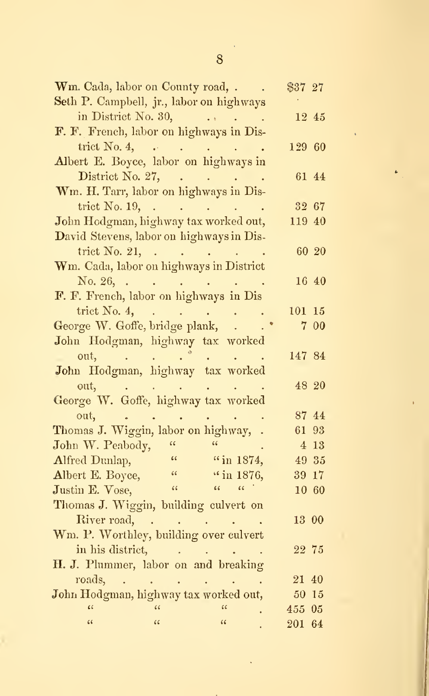| Wm. Cada, labor on County road,                                                                                                                                   | \$3727 |       |  |  |
|-------------------------------------------------------------------------------------------------------------------------------------------------------------------|--------|-------|--|--|
| Seth P. Campbell, jr., labor on highways                                                                                                                          |        |       |  |  |
| in District No. 30,<br>$\mathcal{L}^{\mathcal{L}}(\mathbb{R}^{d})$ , and $\mathcal{L}^{\mathcal{L}}(\mathbb{R}^{d})$ , and                                        | 12 45  |       |  |  |
| F. F. French, labor on highways in Dis-                                                                                                                           |        |       |  |  |
| trict No. 4, $\cdots$ $\cdots$                                                                                                                                    | 129 60 |       |  |  |
| Albert E. Boyce, labor on highways in                                                                                                                             |        |       |  |  |
| District No. 27,<br>$\mathbf{u}^{\prime}$ , $\mathbf{u}^{\prime}$ , $\mathbf{u}^{\prime}$ , $\mathbf{u}^{\prime}$ , $\mathbf{u}^{\prime}$ , $\mathbf{u}^{\prime}$ |        | 61 44 |  |  |
| Wm. H. Tarr, labor on highways in Dis-                                                                                                                            |        |       |  |  |
| trict No. 19, $\blacksquare$<br>and a series of the series of                                                                                                     | 32 67  |       |  |  |
| John Hodgman, highway tax worked out,                                                                                                                             | 119 40 |       |  |  |
| David Stevens, labor on highways in Dis-                                                                                                                          |        |       |  |  |
| trict No. 21, $\ldots$<br>and a strong state of the state                                                                                                         |        | 60 20 |  |  |
| Wm. Cada, labor on highways in District                                                                                                                           |        |       |  |  |
| $\rm No. 26, \ldots$                                                                                                                                              |        | 16 40 |  |  |
| F. F. French, labor on highways in Dis                                                                                                                            |        |       |  |  |
| trict No. $4,$<br>$\mathcal{L}^{\mathcal{L}}$                                                                                                                     | 101 15 |       |  |  |
| George W. Goffe, bridge plank, .                                                                                                                                  |        | 7 00  |  |  |
| John Hodgman, highway tax worked                                                                                                                                  |        |       |  |  |
| out,<br>and the state of the state of the                                                                                                                         | 147 84 |       |  |  |
| John Hodgman, highway tax worked                                                                                                                                  |        |       |  |  |
| out,<br>$\mathbf{A}$ and $\mathbf{A}$ are the set of the set of the $\mathbf{A}$                                                                                  | 48 20  |       |  |  |
| George W. Goffe, highway tax worked                                                                                                                               |        |       |  |  |
| out,<br>$\mathcal{L}^{\mathcal{L}}(\mathbf{z})$ and $\mathcal{L}^{\mathcal{L}}(\mathbf{z})$ . The contribution of<br>and the contract of the contract of          | 87 44  |       |  |  |
| Thomas J. Wiggin, labor on highway, .                                                                                                                             | 61 93  |       |  |  |
| $\zeta\,\zeta$<br>John W. Peabody,                                                                                                                                | 4 13   |       |  |  |
| 66<br>$\frac{16}{10}$ 1874,<br>Alfred Dunlap,                                                                                                                     | 49 35  |       |  |  |
| $\zeta\,\zeta$<br>Albert E. Boyce,<br>" in 1876,                                                                                                                  | 39 17  |       |  |  |
| 66 <sup>2</sup><br>$\epsilon$<br>$\zeta\,\zeta$<br>Justin E. Vose,                                                                                                | 10 60  |       |  |  |
| Thomas J. Wiggin, building culvert on                                                                                                                             |        |       |  |  |
| River road,<br>$\mathbf{e}^{(i)}$ and $\mathbf{e}^{(i)}$ and $\mathbf{e}^{(i)}$                                                                                   | 13 00  |       |  |  |
| Wm. P. Worthley, building over culvert                                                                                                                            |        |       |  |  |
| in his district,<br>$\mathcal{A}=\{a,b,c,d\}$                                                                                                                     | 22 75  |       |  |  |
| H. J. Plummer, labor on and breaking                                                                                                                              |        |       |  |  |
| roads,                                                                                                                                                            | 21 40  |       |  |  |
| John Hodgman, highway tax worked out,                                                                                                                             | 50 15  |       |  |  |
| $\pmb{\zeta}$<br>66                                                                                                                                               | 455 05 |       |  |  |
| $\zeta \zeta$<br>$\zeta$ $\zeta$<br>66                                                                                                                            | 201 64 |       |  |  |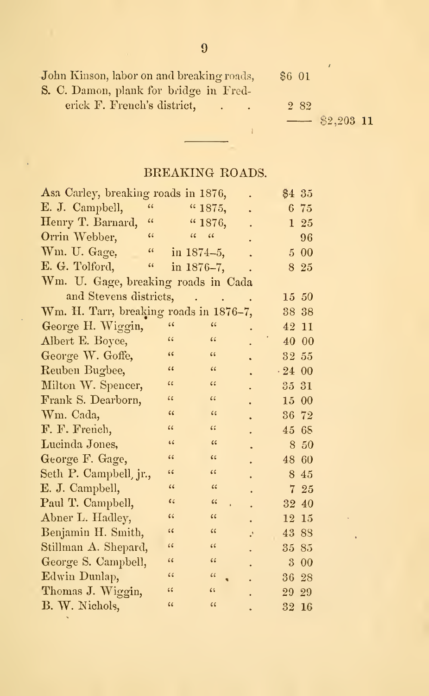| John Kinson, labor on and breaking roads,<br>S. C. Damon, plank for bridge in Fred- | \$601        |
|-------------------------------------------------------------------------------------|--------------|
| erick F. French's district,                                                         | 2 82         |
|                                                                                     | $-82,203$ 11 |

## BREAKING ROADS.

| Asa Carley, breaking roads in 1876,    |                          |              |    | \$4 35       |                 |
|----------------------------------------|--------------------------|--------------|----|--------------|-----------------|
| E. J. Campbell,<br>$\epsilon$          |                          | " 1875,      |    |              | 6 75            |
| Henry T. Barnard,<br>$\epsilon$        |                          | " 1876,      |    |              | 1 25            |
| Orrin Webber,<br>$\epsilon$            | $\overline{\mathcal{L}}$ | $\sqrt{6}$   |    |              | 96              |
| Wm. U. Gage,<br>$\epsilon$             | in 1874–5,               |              |    |              | 5 00            |
| E. G. Tolford,<br>66                   | in 1876-7,               |              |    |              | 8 25            |
| Wm. U. Gage, breaking roads in Cada    |                          |              |    |              |                 |
| and Stevens districts,                 |                          |              |    |              | 15 50           |
| Wm. H. Tarr, breaking roads in 1876-7, |                          |              |    |              | 38 38           |
| George H. Wiggin,                      | $\epsilon$               | $\epsilon$   |    |              | 42 11           |
| Albert E. Boyce,                       | $\epsilon$               | 66           |    |              | 40 00           |
| George W. Goffe,                       | 66                       | $\epsilon$   |    |              | 32 55           |
| Reuben Bugbee,                         | $\epsilon$               | 66           |    | $-2400$      |                 |
| Milton W. Spencer,                     | 66                       | $\epsilon$   |    | 35 31        |                 |
| Frank S. Dearborn,                     | $\epsilon$               | 66           |    |              | 15 00           |
| Wm. Cada,                              | $\epsilon$               | 66           |    |              | 36 72           |
| F. F. French,                          | $\epsilon$               | $\epsilon$   |    |              | 45 68           |
| Lucinda Jones,                         | $\sqrt{2}$               | 66           |    |              | 8 50            |
| George F. Gage,                        | $\epsilon$               | 66           |    |              | 48 60           |
| Seth P. Campbell, jr.,                 | $\epsilon$               | $\epsilon$   |    |              | 8 45            |
| E. J. Campbell,                        | $\epsilon$               | 66           |    |              | 7 25            |
| Paul T. Campbell,                      | $\epsilon$               | 66           |    |              | 32 40           |
| Abner L. Hadley,                       | $\epsilon$               | 66           |    | 12           | 15              |
| Benjamin H. Smith,                     | 66                       | $\zeta\zeta$ | J. |              | 43 88           |
| Stillman A. Shepard,                   | $\epsilon$               | 66           |    | 35 85        |                 |
| George S. Campbell,                    | $\epsilon$               | 66           |    | $\mathbf{3}$ | $\overline{00}$ |
| Edwin Dunlap,                          | $\epsilon$               | 66           |    | 36           | 28              |
| Thomas J. Wiggin,                      | $\epsilon$               | $\epsilon$   |    | 29 29        |                 |
| B. W. Nichols,                         | $\epsilon$               | 66           |    | 32 16        |                 |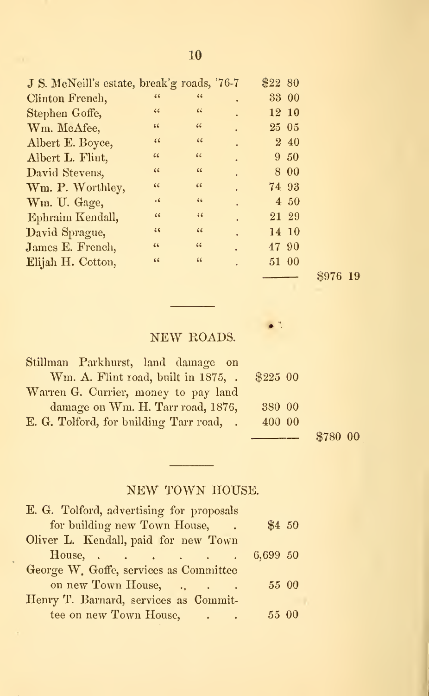|           |               |   | \$22 80                                     |                  |
|-----------|---------------|---|---------------------------------------------|------------------|
| 66        | 66            |   | 33 00                                       |                  |
| 66        | 66            |   | 12 10                                       |                  |
| 66        | 66            |   |                                             | 25 05            |
| 66        | $\zeta$       |   |                                             | 2 40             |
| 66        | 66            | ÷ |                                             | $9\,50$          |
| 66        | 66            |   |                                             | 8 0 0            |
| 66        | 66            |   | 74 93                                       |                  |
| $\cdot$ 6 | 66            |   |                                             | $4\overline{50}$ |
| 66        | 66            |   |                                             | 21 29            |
| 66        | 66            |   |                                             | 14 10            |
| 66        | $\zeta \zeta$ |   | 47 90                                       |                  |
| 66        | 66            |   | 51 00                                       |                  |
|           |               |   | J S. McNeill's estate, break'g roads, '76-7 |                  |

\$976 19

NEW ROADS.

| Stillman Parkhurst, land damage on       |         |          |
|------------------------------------------|---------|----------|
| Wm. A. Flint road, built in 1875,.       | \$22500 |          |
| Warren G. Currier, money to pay land     |         |          |
| damage on Wm. H. Tarr road, 1876,        | 380 00  |          |
| E. G. Tolford, for building Tarr road, . | 400 00  |          |
|                                          |         | \$780 00 |

## NEW TOWN HOUSE.

| E. G. Tolford, advertising for proposals    |          |        |
|---------------------------------------------|----------|--------|
| for building new Town House, .              |          | \$4 50 |
| Oliver L. Kendall, paid for new Town        |          |        |
| House, $\cdots$ $\cdots$ $\cdots$           | 6,699 50 |        |
| George W. Goffe, services as Connuittee     |          |        |
| on new Town House,                          |          | 55 00  |
| Henry T. Barnard, services as Commit-       |          |        |
| tee on new Town House,<br><b>Contractor</b> | 55 00    |        |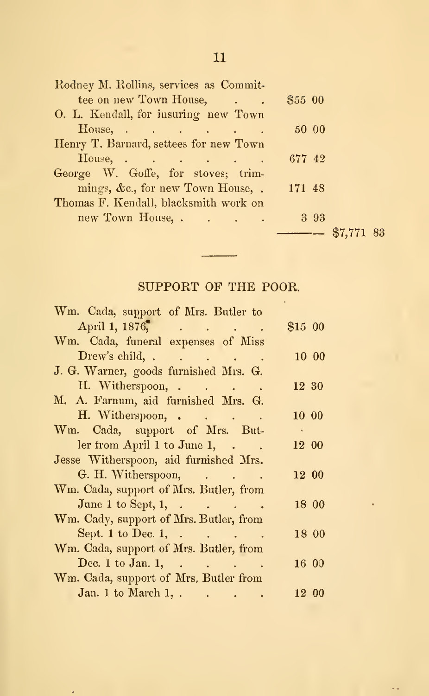| Rodney M. Rollins, services as Commit-        |        |                |
|-----------------------------------------------|--------|----------------|
| tee on new Town House,                        | \$5500 |                |
| O. L. Kendall, for insuring new Town          |        |                |
| House, $\cdots$ $\cdots$ $\cdots$             | 50 00  |                |
| Henry T. Barnard, settees for new Town        |        |                |
|                                               | 677 42 |                |
| George W. Goffe, for stoves; trim-            |        |                |
| mings, &c., for new Town House, $\,$ . 171 48 |        |                |
| Thomas F. Kendall, blacksmith work on         |        |                |
| new Town House,                               | 3 93   |                |
|                                               |        | $-$ \$7,771 83 |

# SUPPORT OF THE POOR.

| Wm. Cada, support of Mrs. Butler to         |        |  |
|---------------------------------------------|--------|--|
| April 1, 1876,                              | \$1500 |  |
| Wm. Cada, funeral expenses of Miss          |        |  |
| Drew's child,                               | 10 00  |  |
| J. G. Warner, goods furnished Mrs. G.       |        |  |
| H. Witherspoon,                             | 12 30  |  |
| M. A. Farnum, aid furnished Mrs. G.         |        |  |
| H. Witherspoon,                             | 10 00  |  |
| Wm. Cada, support of Mrs. But-              |        |  |
| $\ell$ ler from April 1 to June 1, $\ldots$ | 12 00  |  |
| Jesse Witherspoon, aid furnished Mrs.       |        |  |
| G. H. Witherspoon,                          | 12 00  |  |
| Wm. Cada, support of Mrs. Butler, from      |        |  |
| June 1 to Sept, 1, $\ldots$ .               | 18 00  |  |
| Wm. Cady, support of Mrs. Butler, from      |        |  |
| Sept. 1 to Dec. 1, $\ldots$ .               | 18 00  |  |
| Wm. Cada, support of Mrs. Butler, from      |        |  |
| Dec. 1 to Jan. 1, $\ldots$                  | 16 00  |  |
| Wm. Cada, support of Mrs. Butler from       |        |  |
| Jan. 1 to March 1, $\ldots$                 | 12 00  |  |

x

 $\sim$   $\alpha$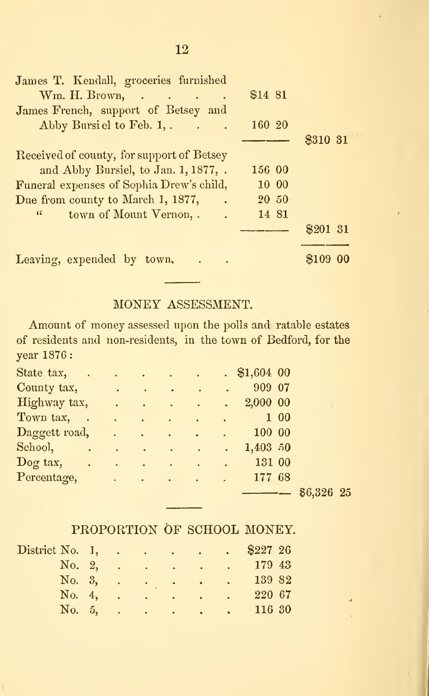| James T. Kendall, groceries furnished     |         |          |
|-------------------------------------------|---------|----------|
| Wm. H. Brown,                             | \$14 81 |          |
| James French, support of Betsey and       |         |          |
| Abby Bursiel to Feb. 1,.                  | 160 20  |          |
|                                           |         | \$310 31 |
| Received of county, for support of Betsey |         |          |
| and Abby Bursiel, to Jan. 1, 1877, .      | 156 00  |          |
| Funeral expenses of Sophia Drew's child,  | 10 00   |          |
| Due from county to March 1, 1877,         | 20 50   |          |
| " town of Mount Vernon,                   | 14 81   |          |
|                                           |         | \$201 31 |
| Leaving, expended by town,                |         | \$109 00 |

### MONEY ASSESSMENT.

Amount of money assessed upon the polls and ratable estates of residents and non-residents, in the town of Bedford, for the year 1876:

| State tax, .  |                      | $\bullet$            | $\mathbf{a} = \mathbf{0}$               |                           | <b>All Contracts</b>      |                      | $. \$1,604$ 00 |      |         |    |
|---------------|----------------------|----------------------|-----------------------------------------|---------------------------|---------------------------|----------------------|----------------|------|---------|----|
| County tax,   |                      | $\sim$               |                                         | $\mathbf{v}$              | $\sim$                    | ÷.                   | 909 07         |      |         |    |
| Highway tax,  |                      | $\sim$               | $\mathbf{a}$ .                          | $\overline{\phantom{a}}$  | $\sim 10$                 | $\bullet$            | 2,000 00       |      |         |    |
| Town tax, .   |                      | $\ddot{\phantom{a}}$ | ÷.                                      | $\ddot{\phantom{0}}$      | $\mathbf{z} = \mathbf{0}$ | $\ddot{\phantom{a}}$ |                | 1 00 |         |    |
| Daggett road, |                      | ٠.                   | ٠.                                      | $\mathbf{L}^{\text{max}}$ | $\ddot{\phantom{a}}$      |                      | 100 00         |      |         |    |
| School,       | $\ddot{\phantom{0}}$ | $\sim$               | $\bullet$ .<br><br><br><br><br><br><br> | <b>CALCULATION</b>        |                           | $\ddot{\phantom{0}}$ | 1,403 50       |      |         |    |
| $\log \tan$ , | $\ddot{\phantom{a}}$ | $\mathbf{q} = 0$     | $\bullet$                               | $\Delta \sim 10^{-11}$    |                           | $\bullet$            | 131 00         |      |         |    |
| Percentage,   |                      | $\ddot{\phantom{0}}$ | <b>Contractor</b>                       | <b>Carl Corp.</b>         | $\sim 10^{-11}$           | $\ddot{\phantom{0}}$ | 177 68         |      |         |    |
|               |                      |                      |                                         |                           |                           |                      |                |      | \$6,326 | 25 |

## PROPORTION OF SCHOOL MONEY.

| District No. 1, \$227 26 |                 |  |  |                        |  |
|--------------------------|-----------------|--|--|------------------------|--|
|                          |                 |  |  | No. 2, 179 43          |  |
|                          |                 |  |  | No. 3, $\ldots$ 139 82 |  |
|                          | No. 4, $\cdots$ |  |  | 220 67                 |  |
|                          |                 |  |  | No. 5, 116 30          |  |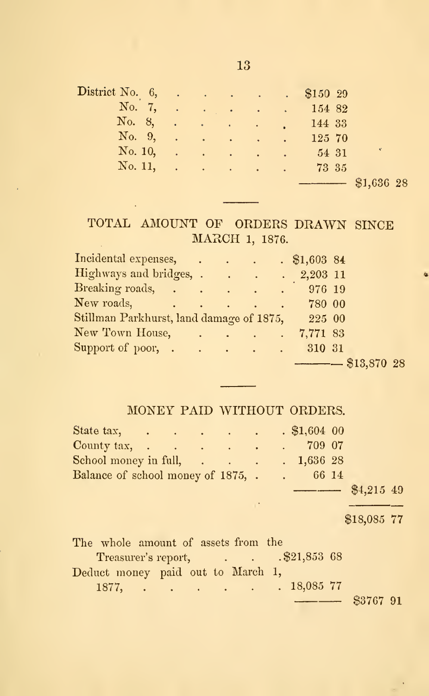| District No. $6,$                    |            |  |                                   | $\cdots$ $\cdots$ $\cdots$ $\qquad \qquad$ \$150 29       |         |
|--------------------------------------|------------|--|-----------------------------------|-----------------------------------------------------------|---------|
| No. 7,                               | $\sim 100$ |  |                                   | $\cdots$ $\cdots$ $\cdots$ $\cdots$ $\frac{154}{82}$      |         |
| No. $8, \ldots$                      |            |  |                                   | $\sim$ $\sim$ $\sim$ $\sim$ $\sim$ $\sim$ $14433$         |         |
| $\mathrm{No.} \quad 9, \quad \ldots$ |            |  | the contract of the contract of   | 125 70                                                    |         |
| $\mathrm{No.}\;10,$                  | $\sim 100$ |  | and the state of the state of the | $54\,31$                                                  |         |
| $\text{No. } 11, \ldots$             |            |  |                                   | $\sim$ $\sim$ $\sim$ $\sim$ $\sim$ $\sim$ $\sim$ $73\,35$ |         |
|                                      |            |  |                                   |                                                           | \$1,636 |

TOTAL AMOUNT OF ORDERS DRAWN SINCE MARCH 1, 1876.

| Incidental expenses, .                   |                      |        | <b>Allen Commercial Commercial Commercial Commercial Commercial Commercial Commercial Commercial Commercial Commercial Commercial Commercial Commercial Commercial Commercial Commercial Commercial Commercial Commercial Commer</b> | $\bullet$ .<br><br><br><br><br><br><br><br><br><br><br><br> | $. \$1,603$ 84   |                            |  |
|------------------------------------------|----------------------|--------|--------------------------------------------------------------------------------------------------------------------------------------------------------------------------------------------------------------------------------------|-------------------------------------------------------------|------------------|----------------------------|--|
| Highways and bridges,                    |                      |        |                                                                                                                                                                                                                                      |                                                             | $. \t2,203 \t11$ |                            |  |
| Breaking roads,                          |                      |        | <b>Carl Carl Corporation</b>                                                                                                                                                                                                         |                                                             | . 97619          |                            |  |
| New roads,                               | <b>All Contracts</b> |        | <b>Carl Corp.</b>                                                                                                                                                                                                                    | $\blacksquare$                                              | 780 00           |                            |  |
| Stillman Parkhurst, land damage of 1875, |                      |        |                                                                                                                                                                                                                                      |                                                             | 225 00           |                            |  |
| New Town House,                          |                      | $\sim$ | <b>Contract Contract</b>                                                                                                                                                                                                             |                                                             | $.7,771$ 83      |                            |  |
| Support of poor,                         |                      |        |                                                                                                                                                                                                                                      |                                                             | 310 31           |                            |  |
|                                          |                      |        |                                                                                                                                                                                                                                      |                                                             |                  | $\frac{\ }{2}$ \$13,870 28 |  |

### MONEY PAID WITHOUT ORDERS.

| State tax,                                  |  |  |  | $.$ \$1,604 00     |          |  |
|---------------------------------------------|--|--|--|--------------------|----------|--|
| County tax, $\cdot \cdot \cdot \cdot \cdot$ |  |  |  | 709 07             |          |  |
| School money in full, 1,636 28              |  |  |  |                    |          |  |
| Balance of school money of 1875,.           |  |  |  | $\therefore$ 66 14 |          |  |
|                                             |  |  |  |                    | \$491549 |  |

 $\mathcal{C}$ 

\$18,085 77

28

The whole amount of assets from the

|                                   |  |  |  | Treasurer's report, Treasurer's report, |                         |  |
|-----------------------------------|--|--|--|-----------------------------------------|-------------------------|--|
| Deduct money paid out to March 1, |  |  |  |                                         |                         |  |
|                                   |  |  |  |                                         |                         |  |
|                                   |  |  |  |                                         | $\frac{1}{1}$ \$3767 91 |  |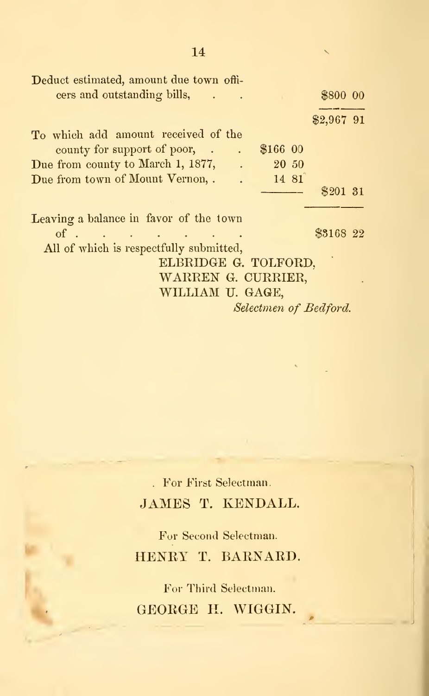| Deduct estimated, amount due town offi-          |                                      |            |  |
|--------------------------------------------------|--------------------------------------|------------|--|
| eers and outstanding bills,                      |                                      | \$800 00   |  |
|                                                  |                                      | \$2,967 91 |  |
| To which add amount received of the              |                                      |            |  |
| county for support of poor, .                    | \$166 00<br><b>Contract Contract</b> |            |  |
| Due from county to March 1, 1877, $\ldots$ 20 50 |                                      |            |  |
| Due from town of Mount Vernon,                   | 14 81                                |            |  |
|                                                  |                                      | \$201 31   |  |
| Leaving a balance in favor of the town           |                                      |            |  |
| of                                               |                                      | \$3168 22  |  |
| All of which is respectfully submitted,          |                                      |            |  |
|                                                  | ELBRIDGE G. TOLFORD,                 |            |  |
|                                                  | WARREN G. CURRIER,                   |            |  |
| WILLIAM U. GAGE,                                 |                                      |            |  |
|                                                  | Selectmen of Bedford.                |            |  |

. For First Selectman. JAMES T. KENDALL.

For Second Selectman. HENRY T. BARNARD.

For Third Selectman. GEORGE H. WIGGIN.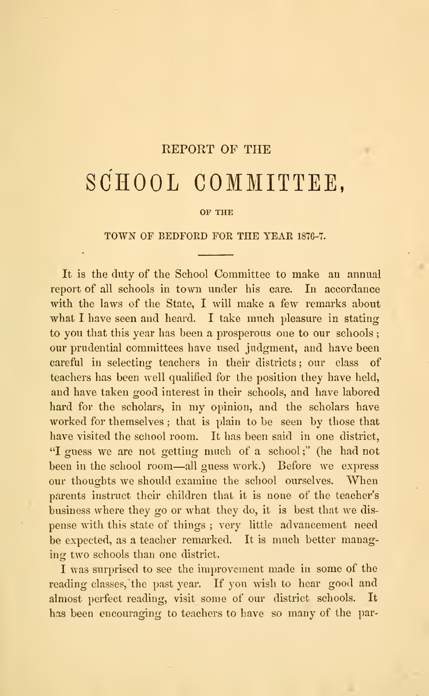# REPORT OF THE SCHOOL COMMITTEE.

#### OF THE

#### TOWN OF BEDFORD FOR THE YEAR 1876-7.

It is the duty of the School Committee to make an annual report of all schools in town under his care. In accordance with the laws of the State, <sup>I</sup> will make a few remarks about what I have seen and heard. I take much pleasure in stating to you that this year has been a prosperous one to our schools our prudential committees have used judgment, and have been careful in selecting teachers in their districts ; our class of teachers has been well qualified for the position they have held, and have taken good interest in their schools, and have labored hard for the scholars, in my opinion, and the scholars have worked for themselves; that is plain to be seen, by those that have visited the school room. It has been said in one district, "I guess we are not getting much of a school ;" (he had not been in the school room—all guess work.) Before we express our thoughts we should examine the school ourselves. When parents instruct their children that it is none of the teacher's business where they go or what they do, it is best that we dis pense with this state of things ; very little advancement need be expected, as a teacher remarked. It is much better managing two schools than one district,

<sup>I</sup> was surprised to see the improvement made in some of the reading classes, the past year. If you wish to hear good and almost perfect reading, visit some of our district schools. It has been encouraging to teachers to have so many of the par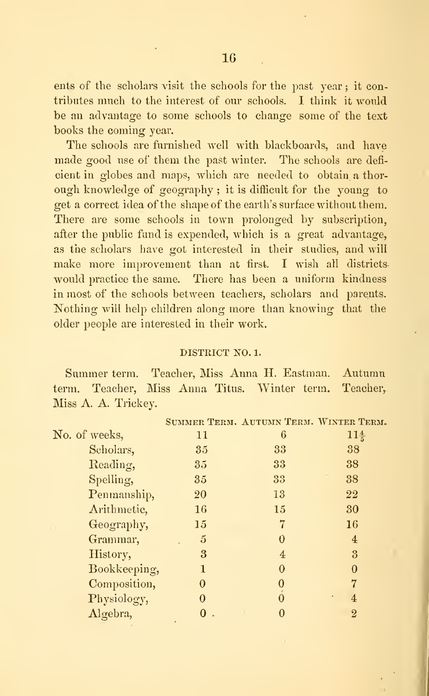ents of the scholars visit the schools for the past year ; it contributes much to the interest of our schools. <sup>I</sup> think it would be an advantage to some schools to change some of the text books the coming year.

The schools are furnished well with blackboards, and have made good use of them the past winter. The schools are defi cient in globes and maps, which are needed to obtain a thor ough knowledge of geography ; it is difficult for the young to get a correct idea of the shape of the earth's surface without them. There are some schools in town prolonged by subscription, after the public fund is expended, which is a great advantage, as the scholars have got interested in their studies, and will make more improvement than at first. I wish all districts would practice the same. There has been a uniform kindness in most of the schools between teachers, scholars and parents. Nothing will help children along more than knowing that the older people are interested in their work.

#### DISTRICT NO. 1.

Summer term. Teacher, Miss Anna H. Eastman. Autumn term. Teacher, Miss Anna Titus. Winter term. Teacher, Miss A. A. Trickey.

|               |              |    | SUMMER TERM. AUTUMN TERM. WINTER TERM. |                 |  |
|---------------|--------------|----|----------------------------------------|-----------------|--|
| No. of weeks, |              | 11 | 6                                      | $11\frac{4}{5}$ |  |
|               | Scholars,    | 35 | 33                                     | 38              |  |
|               | Reading,     | 35 | 33                                     | 38              |  |
|               | Spelling,    | 35 | 33                                     | 38              |  |
|               | Penmanship,  | 20 | 13                                     | 22              |  |
|               | Arithmetic,  | 16 | 15                                     | 30              |  |
|               | Geography,   | 15 |                                        | 16              |  |
|               | Grammar,     | 5  |                                        | $\overline{4}$  |  |
|               | History,     | 3  | 4                                      | 3               |  |
|               | Bookkeeping, |    |                                        |                 |  |
|               | Composition, |    |                                        | 7               |  |
|               | Physiology,  |    |                                        | 4               |  |
|               | Algebra,     |    |                                        | $\overline{2}$  |  |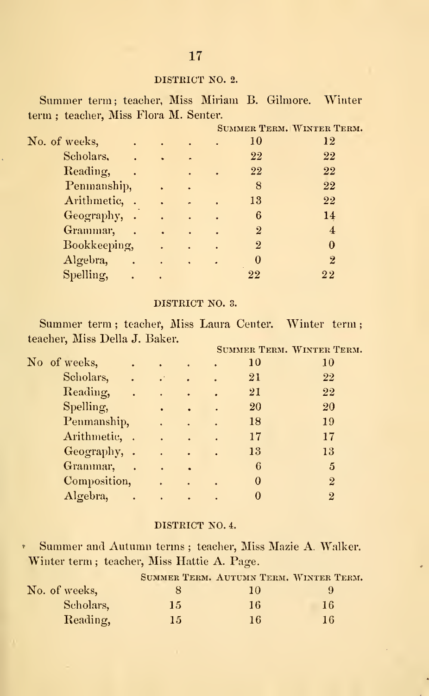#### DISTRICT NO. 2.

Summer term; teacher, Miss Miriam B. Gilmore. Winter<br>term ; teacher, Miss Flora M. Senter.

|               |                      |           |           |                |                         | SUMMER TERM. WINTER TERM. |  |
|---------------|----------------------|-----------|-----------|----------------|-------------------------|---------------------------|--|
| No. of weeks, | $\bullet$            |           |           |                | 10                      | 12                        |  |
| Scholars,     |                      |           |           |                | $22\,$                  | 22                        |  |
| Reading,      | $\ddot{\phantom{0}}$ |           |           |                | 22                      | 22                        |  |
|               | Penmanship,          |           |           |                | 8                       | 22                        |  |
|               | Arithmetic, .        |           |           | $\blacksquare$ | 13                      | 22                        |  |
|               | Geography, .         |           |           | $\bullet$      | 6                       | 14                        |  |
| Grammar,      |                      | $\bullet$ |           | $\bullet$      | $\overline{\mathbf{2}}$ | 4                         |  |
|               | Bookkeeping,         |           |           | $\bullet$      | $\overline{2}$          |                           |  |
| Algebra,      | $\bullet$            | ٠         | $\bullet$ | ٠              |                         | $\mathbf{2}$              |  |
| Spelling,     | ٠                    |           |           |                | $22\,$                  | $2\,2$                    |  |

#### DISTRICT NO. 3.

Summer term; teacher, Miss Laura Center. Winter term; teacher, Miss Della J. Baker.

|               |  |           |           |        | SUMMER TERM. WINTER TERM |
|---------------|--|-----------|-----------|--------|--------------------------|
| No of weeks,  |  | $\bullet$ | ٠         | 10     | $10\,$                   |
| Scholars,     |  | ۰         |           | 21     | 22                       |
| Reading,      |  | $\bullet$ | $\bullet$ | 21     | $22\,$                   |
| Spelling,     |  | ٠         |           | $20\,$ | 20                       |
| Penmanship,   |  |           | $\bullet$ | 18     | 19                       |
| Arithmetic, . |  | ٠         | ٠         | 17     | 17                       |
| Geography, .  |  | ٠         | ٠         | 13     | 13                       |
| Grammar,      |  |           |           | 6      | 5                        |
| Composition,  |  | ٠         | ٠         | $_{0}$ | $\overline{2}$           |
| Algebra,      |  |           |           |        | $\overline{2}$           |
|               |  |           |           |        |                          |

#### DISTRICT NO. 4.

Summer and Autumn terms; teacher, Miss Mazie A. Walker.  $\hat{\mathbf{r}}$ Winter term; teacher, Miss Hattie A. Page.

|               |    | SUMMER TERM. AUTUMN TERM. WINTER TERM. |    |
|---------------|----|----------------------------------------|----|
| No. of weeks, |    | 10                                     |    |
| Scholars,     | 15 | 16                                     | 16 |
| Reading,      | 15 | 16                                     | 16 |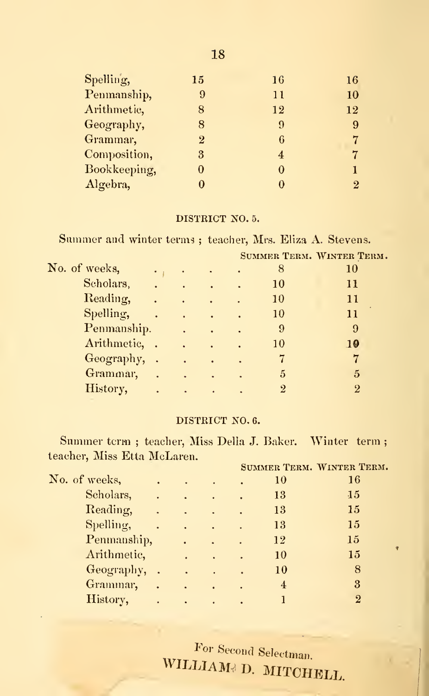| Spelling,    | 15             | 16 | 16             |
|--------------|----------------|----|----------------|
| Penmanship,  | 9              | 11 | 10             |
| Arithmetic,  | 8              | 12 | 12             |
| Geography,   | 8              | 9  | 9              |
| Grammar,     | $\overline{2}$ | 6  |                |
| Composition, | 3              | 4  |                |
| Bookkeeping, |                |    |                |
| Algebra,     |                |    | $\overline{2}$ |

### DISTRICT NO. 5.

Summer and winter terms; teacher, Mrs. Eliza A. Stevens.

|               |                      |   |                      |           |                | SUMMER TERM. WINTER TERM. |
|---------------|----------------------|---|----------------------|-----------|----------------|---------------------------|
| No. of weeks, |                      |   |                      | $\bullet$ | 8              | 10                        |
| Scholars,     |                      |   |                      |           | 10             | 11                        |
| Reading,      |                      | ٠ | ٠                    | ÷         | 10             | 11                        |
| Spelling,     |                      | ÷ | $\bullet$            |           | 10             | 11                        |
| Penmanship.   |                      |   | $\bullet$            |           | 9              | 9                         |
| Arithmetic, . |                      |   | $\bullet$            | $\bullet$ | 10             | 10                        |
| Geography,    | $\sim$               | ٠ | $\bullet$            | $\bullet$ |                |                           |
| Grammar,      | $\ddot{\phantom{0}}$ |   | $\ddot{\phantom{0}}$ | ٠         | 5              | 5                         |
| History,      | ۰                    | ٠ | ٠                    |           | $\overline{2}$ | $\overline{2}$            |
|               |                      |   |                      |           |                |                           |

### DISTRICT NO. 6.

Summer term; teacher, Miss Della J. Baker. Winter term; teacher, Miss Etta McLaren.

|               |                      |                      |                      |                      |        | SUMMER TERM, WINDER TERM. |
|---------------|----------------------|----------------------|----------------------|----------------------|--------|---------------------------|
| No. of weeks, | $\bullet$            | ٠                    | $\bullet$            | ٠                    | 10     | 16                        |
| Scholars,     | $\bullet$            | $\ddot{\phantom{0}}$ | ٠                    | ٠                    | 13     | 15                        |
| Reading,      | $\ddot{\phantom{0}}$ | ٠                    | $\ddot{\phantom{a}}$ | $\bullet$            | 13     | 15                        |
| Spelling,     | $\bullet$            | $\ddot{\phantom{0}}$ | $\bullet$            | ٠                    | 13     | 15                        |
| Penmanship,   |                      | ٠                    | ٠                    |                      | 12     | 15                        |
| Arithmetic,   |                      | ٠                    | $\ddot{\phantom{0}}$ | $\bullet$            | 10     | $15\,$                    |
| Geography,    | $\sim$               | $\ddot{\phantom{0}}$ | ÷                    | ×                    | $10\,$ | 8                         |
| Grammar,      | $\ddot{\phantom{0}}$ | ٠                    | ä                    | $\ddot{\phantom{0}}$ | 4      | 3                         |
| History,      | ٠                    | $\bullet$            | $\bullet$            |                      |        | $\overline{2}$            |

For Second Selectman. WILLIAM® D. MITCHELL.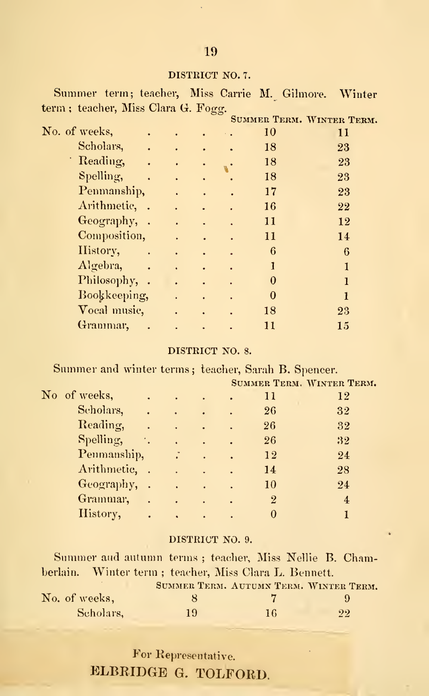#### DISTRICT NO. 7.

Summer term; teacher, Miss Carrie M. Gilmore. Winter term ; teacher, Miss Clara G. Fogg.

|               |           |           |           |                  |    | SUMMER TERM. WINTER TERM. |
|---------------|-----------|-----------|-----------|------------------|----|---------------------------|
| No. of weeks, |           |           |           | $\sim$ $\bullet$ | 10 | 11                        |
| Scholars,     | ٠         |           |           |                  | 18 | 23                        |
| Reading,      |           |           |           |                  | 18 | 23                        |
| Spelling,     |           |           |           |                  | 18 | 23                        |
| Penmanship,   |           | ٠         |           | ٠                | 17 | 23                        |
| Arithmetic,   | . .       |           |           | ٠                | 16 | 22                        |
| Geography, .  |           | $\bullet$ |           |                  | 11 | 12                        |
| Composition,  |           |           |           | ٠                | 11 | 14                        |
| History,      |           |           |           |                  | 6  | 6                         |
| Algebra,      | ٠         |           | ٠         | ٠                | 1  |                           |
| Philosophy, . |           |           |           |                  | 0  |                           |
| Bookkeeping,  |           |           | $\bullet$ | ٠                | 0  |                           |
| Vocal music,  |           |           | $\bullet$ | ٠                | 18 | 23                        |
| Grammar,      | $\bullet$ |           |           | ٠                | 11 | 15                        |

#### DISTRICT NO. 8.

Summer and winter terms ; teacher, Sarah B. Spencer.

|                 |           |                      |           |           |                | SUMMER TERM. WINTER TERM. |
|-----------------|-----------|----------------------|-----------|-----------|----------------|---------------------------|
| No of weeks,    | ä.        | ò.                   |           | ٠         | 11             | 12                        |
| Scholars,       |           | ٠                    | ٠         |           | 26             | 32                        |
| Reading,        |           | $\ddot{\phantom{1}}$ | ٠         |           | 26             | 32                        |
| Spelling,<br>43 |           | ò.                   | ٠         | ٠         | 26             | 32                        |
| Penmanship,     |           | ÷                    | ×.        | $\bullet$ | 12             | 24                        |
| Arithmetic, .   |           | $\ddot{\phantom{0}}$ | ٠         |           | 14             | 28                        |
| Geography, .    |           | $\bullet$            | $\bullet$ | ×.        | 10             | 24                        |
| Grammar,        | ÷.        | $\bullet$            | ÷         | ٠         | $\overline{2}$ | $\overline{4}$            |
| History,        | $\bullet$ | $\ddot{\phantom{0}}$ |           |           | 0              |                           |

#### DISTRICT NO. 9.

Summer and autumn terms ; teacher, Miss Nellie B. Chamberlain. Winter term ; teacher, Miss Clara L. Bennett.

|               | SUMMER TERM. AUTUMN TERM. WINTER TERM. |    |    |
|---------------|----------------------------------------|----|----|
| No. of weeks, |                                        |    |    |
| Scholars.     | 19                                     | 16 | 22 |

For Representative. ELBRIDGE G. TOLFORD.

19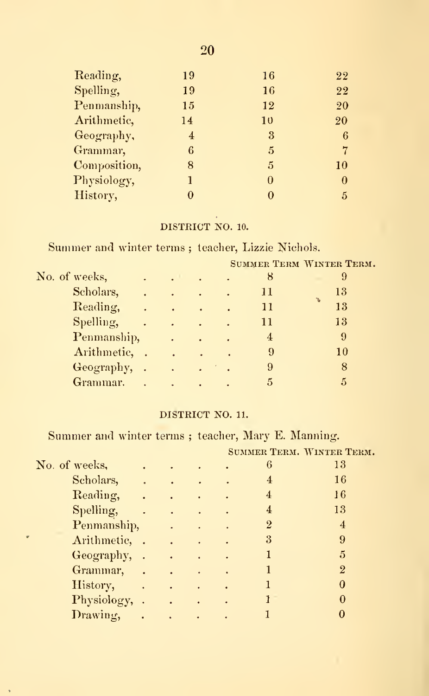| Reading,     | 19             | 16           | 22       |
|--------------|----------------|--------------|----------|
| Spelling,    | 19             | 16           | 22       |
| Penmanship,  | 15             | 12           | 20       |
| Arithmetic,  | 14             | 10           | 20       |
| Geography,   | $\overline{4}$ | 3            | 6        |
| Grammar,     | 6              | 5            | 7        |
| Composition, | 8              | $\mathbf{5}$ | $10\,$   |
| Physiology,  |                | $\Omega$     | $\theta$ |
| History,     |                | $\Omega$     | 5        |

### DISTRICT NO. 10.

Summer and winter terms; teacher, Lizzie Nichols.

|               |                      |    |                      |           | <b>SUMMER TERM WINTER TERM.</b> |    |    |  |
|---------------|----------------------|----|----------------------|-----------|---------------------------------|----|----|--|
| No. of weeks, |                      | G. | ä                    | ٠         | 8                               |    | 9  |  |
| Scholars,     |                      | ÷. | ٠                    | ٠         | 11                              |    | 13 |  |
| Reading,      | $\ddot{\phantom{0}}$ | ٠  | $\ddot{\phantom{a}}$ | $\bullet$ | 11                              | r. | 13 |  |
| Spelling,     |                      | ä. | $\ddot{\phantom{0}}$ |           | 11                              |    | 13 |  |
| Penmanship,   |                      | ٠  | $\ddot{\phantom{0}}$ | ×         | 4                               |    | 9  |  |
| Arithmetic, . |                      |    | ٠                    | $\bullet$ | 9                               |    | 10 |  |
| Geography,    | . .                  |    | τ,                   |           | 9                               |    | 8  |  |
| Grammar.      |                      |    |                      |           | 5                               |    | 5  |  |

### DISTRICT NO. 11.

Summer and winter terms; teacher, Mary E. Manning.

|               |   |           |                      |                  | SUMMER TERM. WINTER TERM. |
|---------------|---|-----------|----------------------|------------------|---------------------------|
| No. of weeks, |   |           |                      | 6                | 13                        |
| Scholars,     | ä | $\bullet$ |                      |                  | 16                        |
| Reading,      | ٠ | ٠         |                      |                  | 16                        |
| Spelling,     |   | $\bullet$ | $\ddot{\phantom{0}}$ | 4                | 13                        |
| Penmanship,   |   |           |                      | $\boldsymbol{2}$ | 4                         |
| Arithmetic,   |   |           |                      | 3                | 9                         |
| Geography, .  |   | ٠         |                      |                  | $\ddot{\mathbf{5}}$       |
| Grammar,      |   |           |                      |                  | $\overline{2}$            |
| History,      | ٠ |           |                      |                  | 0                         |
| Physiology, . |   |           |                      |                  |                           |
| Drawing,      |   |           |                      |                  |                           |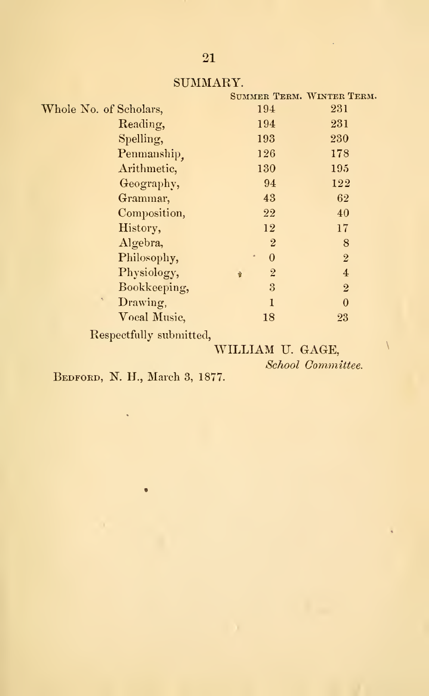|                     | SUMMER TERM. WINTER TERM. |
|---------------------|---------------------------|
| 194                 | 231                       |
| 194                 | 231                       |
| 193                 | 230                       |
| 126                 | 178                       |
| 130                 | 195                       |
| 94                  | 122                       |
| 43                  | 62                        |
| 22                  | 40                        |
| 12                  | 17                        |
| $\overline{2}$      | 8                         |
| ø<br>$\theta$       | $\overline{2}$            |
| $\overline{2}$<br>을 | $\overline{4}$            |
| 3                   | $\overline{2}$            |
| $\mathbf{1}$        | $\Omega$                  |
| 18                  | 23                        |
|                     |                           |

SUMMARY.

Respectfully submitted,

WILLIAM U. GAGE,

School Committee.

 $\overline{1}$ 

BEDFORD, N. H., March 3, 1877.

 $\bullet$ 

i.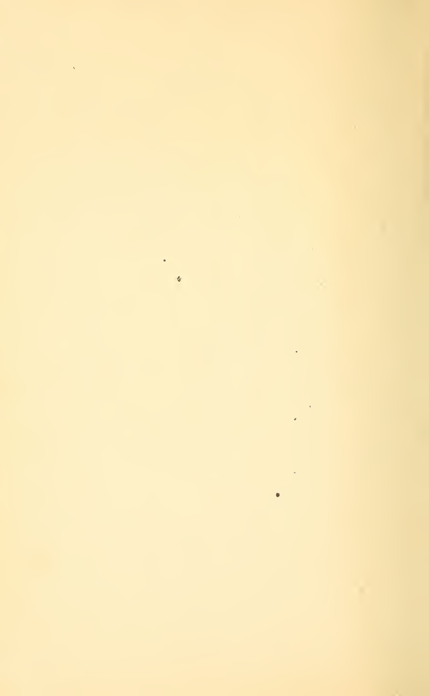$\mathcal{L}(\mathcal{L})$  and  $\mathcal{L}(\mathcal{L})$  . In the  $\mathcal{L}(\mathcal{L})$ 

 $\frac{1}{\sqrt{2}}$ 

 $\sim 10^{-1}$ 

 $\zeta$  $\bullet$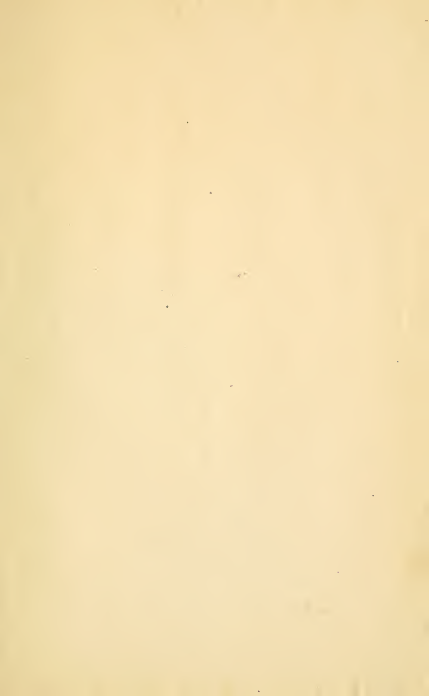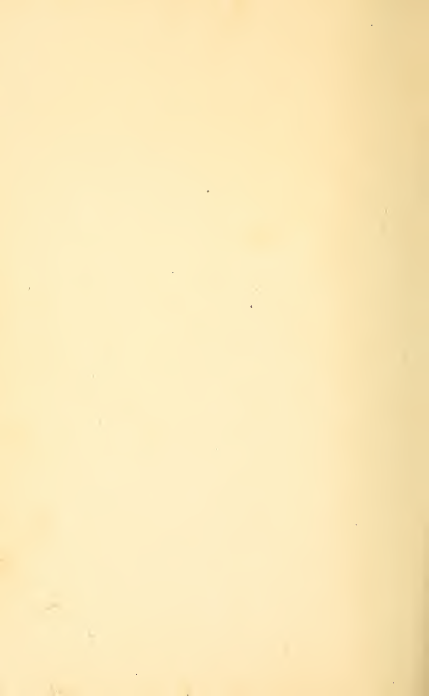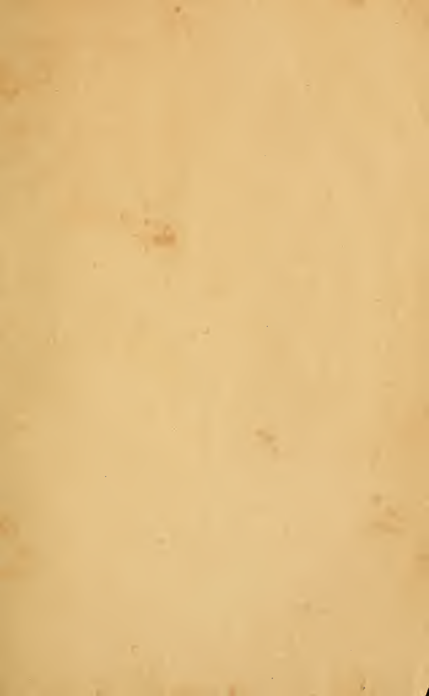